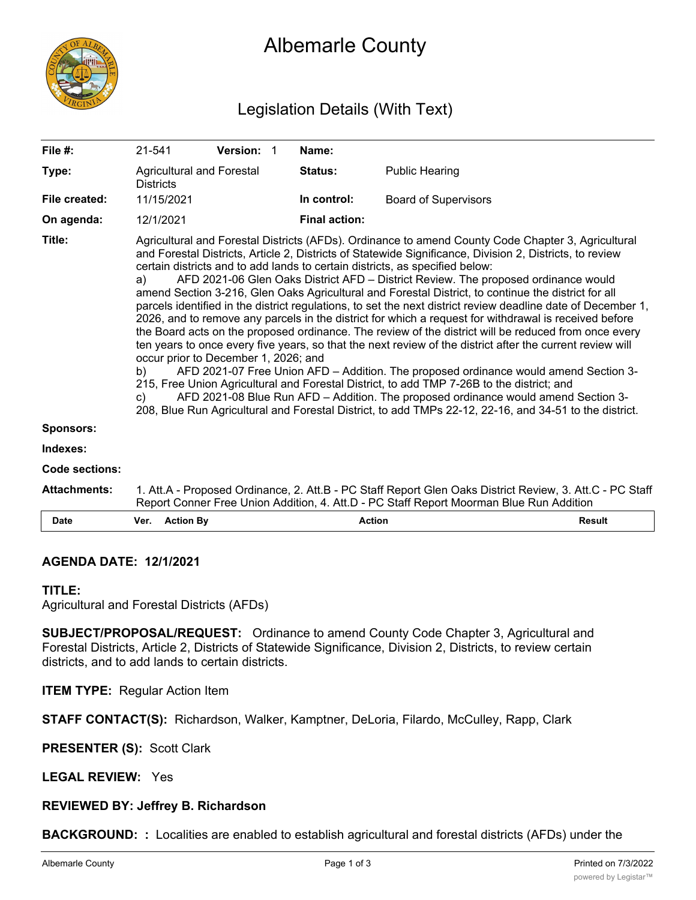

# Albemarle County

# Legislation Details (With Text)

| File #:             | 21-541                                                                                                                                                                                                                                                                                                                                                                                                                                                                                                                                                                                                                                                                                                                                                                                                                                                                                                                                                                                                                                                                                                                                                                                                                                                                                                                                                                                   | Version: 1                |  | Name:                |                             |               |
|---------------------|------------------------------------------------------------------------------------------------------------------------------------------------------------------------------------------------------------------------------------------------------------------------------------------------------------------------------------------------------------------------------------------------------------------------------------------------------------------------------------------------------------------------------------------------------------------------------------------------------------------------------------------------------------------------------------------------------------------------------------------------------------------------------------------------------------------------------------------------------------------------------------------------------------------------------------------------------------------------------------------------------------------------------------------------------------------------------------------------------------------------------------------------------------------------------------------------------------------------------------------------------------------------------------------------------------------------------------------------------------------------------------------|---------------------------|--|----------------------|-----------------------------|---------------|
| Type:               | <b>Districts</b>                                                                                                                                                                                                                                                                                                                                                                                                                                                                                                                                                                                                                                                                                                                                                                                                                                                                                                                                                                                                                                                                                                                                                                                                                                                                                                                                                                         | Agricultural and Forestal |  | Status:              | <b>Public Hearing</b>       |               |
| File created:       | 11/15/2021                                                                                                                                                                                                                                                                                                                                                                                                                                                                                                                                                                                                                                                                                                                                                                                                                                                                                                                                                                                                                                                                                                                                                                                                                                                                                                                                                                               |                           |  | In control:          | <b>Board of Supervisors</b> |               |
| On agenda:          | 12/1/2021                                                                                                                                                                                                                                                                                                                                                                                                                                                                                                                                                                                                                                                                                                                                                                                                                                                                                                                                                                                                                                                                                                                                                                                                                                                                                                                                                                                |                           |  | <b>Final action:</b> |                             |               |
| Title:              | Agricultural and Forestal Districts (AFDs). Ordinance to amend County Code Chapter 3, Agricultural<br>and Forestal Districts, Article 2, Districts of Statewide Significance, Division 2, Districts, to review<br>certain districts and to add lands to certain districts, as specified below:<br>AFD 2021-06 Glen Oaks District AFD - District Review. The proposed ordinance would<br>a)<br>amend Section 3-216, Glen Oaks Agricultural and Forestal District, to continue the district for all<br>parcels identified in the district regulations, to set the next district review deadline date of December 1,<br>2026, and to remove any parcels in the district for which a request for withdrawal is received before<br>the Board acts on the proposed ordinance. The review of the district will be reduced from once every<br>ten years to once every five years, so that the next review of the district after the current review will<br>occur prior to December 1, 2026; and<br>AFD 2021-07 Free Union AFD - Addition. The proposed ordinance would amend Section 3-<br>b)<br>215, Free Union Agricultural and Forestal District, to add TMP 7-26B to the district; and<br>AFD 2021-08 Blue Run AFD - Addition. The proposed ordinance would amend Section 3-<br>C)<br>208, Blue Run Agricultural and Forestal District, to add TMPs 22-12, 22-16, and 34-51 to the district. |                           |  |                      |                             |               |
| <b>Sponsors:</b>    |                                                                                                                                                                                                                                                                                                                                                                                                                                                                                                                                                                                                                                                                                                                                                                                                                                                                                                                                                                                                                                                                                                                                                                                                                                                                                                                                                                                          |                           |  |                      |                             |               |
| Indexes:            |                                                                                                                                                                                                                                                                                                                                                                                                                                                                                                                                                                                                                                                                                                                                                                                                                                                                                                                                                                                                                                                                                                                                                                                                                                                                                                                                                                                          |                           |  |                      |                             |               |
| Code sections:      |                                                                                                                                                                                                                                                                                                                                                                                                                                                                                                                                                                                                                                                                                                                                                                                                                                                                                                                                                                                                                                                                                                                                                                                                                                                                                                                                                                                          |                           |  |                      |                             |               |
| <b>Attachments:</b> | 1. Att.A - Proposed Ordinance, 2. Att.B - PC Staff Report Glen Oaks District Review, 3. Att.C - PC Staff<br>Report Conner Free Union Addition, 4. Att.D - PC Staff Report Moorman Blue Run Addition                                                                                                                                                                                                                                                                                                                                                                                                                                                                                                                                                                                                                                                                                                                                                                                                                                                                                                                                                                                                                                                                                                                                                                                      |                           |  |                      |                             |               |
| <b>Date</b>         | Ver. Action By                                                                                                                                                                                                                                                                                                                                                                                                                                                                                                                                                                                                                                                                                                                                                                                                                                                                                                                                                                                                                                                                                                                                                                                                                                                                                                                                                                           |                           |  | <b>Action</b>        |                             | <b>Result</b> |

### **AGENDA DATE: 12/1/2021**

## **TITLE:**

Agricultural and Forestal Districts (AFDs)

**SUBJECT/PROPOSAL/REQUEST:** Ordinance to amend County Code Chapter 3, Agricultural and Forestal Districts, Article 2, Districts of Statewide Significance, Division 2, Districts, to review certain districts, and to add lands to certain districts.

**ITEM TYPE:** Regular Action Item

**STAFF CONTACT(S):** Richardson, Walker, Kamptner, DeLoria, Filardo, McCulley, Rapp, Clark

**PRESENTER (S):** Scott Clark

**LEGAL REVIEW:** Yes

### **REVIEWED BY: Jeffrey B. Richardson**

**BACKGROUND: :** Localities are enabled to establish agricultural and forestal districts (AFDs) under the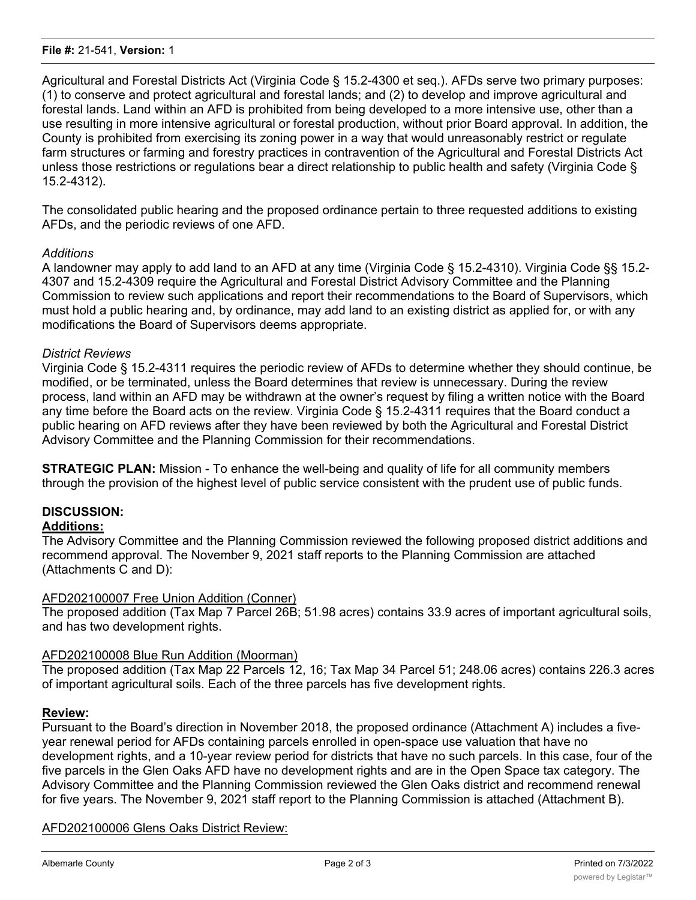#### **File #:** 21-541, **Version:** 1

Agricultural and Forestal Districts Act (Virginia Code § 15.2-4300 et seq.). AFDs serve two primary purposes: (1) to conserve and protect agricultural and forestal lands; and (2) to develop and improve agricultural and forestal lands. Land within an AFD is prohibited from being developed to a more intensive use, other than a use resulting in more intensive agricultural or forestal production, without prior Board approval. In addition, the County is prohibited from exercising its zoning power in a way that would unreasonably restrict or regulate farm structures or farming and forestry practices in contravention of the Agricultural and Forestal Districts Act unless those restrictions or regulations bear a direct relationship to public health and safety (Virginia Code § 15.2-4312).

The consolidated public hearing and the proposed ordinance pertain to three requested additions to existing AFDs, and the periodic reviews of one AFD.

# *Additions*

A landowner may apply to add land to an AFD at any time (Virginia Code § 15.2-4310). Virginia Code §§ 15.2- 4307 and 15.2-4309 require the Agricultural and Forestal District Advisory Committee and the Planning Commission to review such applications and report their recommendations to the Board of Supervisors, which must hold a public hearing and, by ordinance, may add land to an existing district as applied for, or with any modifications the Board of Supervisors deems appropriate.

# *District Reviews*

Virginia Code § 15.2-4311 requires the periodic review of AFDs to determine whether they should continue, be modified, or be terminated, unless the Board determines that review is unnecessary. During the review process, land within an AFD may be withdrawn at the owner's request by filing a written notice with the Board any time before the Board acts on the review. Virginia Code § 15.2-4311 requires that the Board conduct a public hearing on AFD reviews after they have been reviewed by both the Agricultural and Forestal District Advisory Committee and the Planning Commission for their recommendations.

**STRATEGIC PLAN:** Mission - To enhance the well-being and quality of life for all community members through the provision of the highest level of public service consistent with the prudent use of public funds.

# **DISCUSSION:**

# **Additions:**

The Advisory Committee and the Planning Commission reviewed the following proposed district additions and recommend approval. The November 9, 2021 staff reports to the Planning Commission are attached (Attachments C and D):

### AFD202100007 Free Union Addition (Conner)

The proposed addition (Tax Map 7 Parcel 26B; 51.98 acres) contains 33.9 acres of important agricultural soils, and has two development rights.

### AFD202100008 Blue Run Addition (Moorman)

The proposed addition (Tax Map 22 Parcels 12, 16; Tax Map 34 Parcel 51; 248.06 acres) contains 226.3 acres of important agricultural soils. Each of the three parcels has five development rights.

### **Review:**

Pursuant to the Board's direction in November 2018, the proposed ordinance (Attachment A) includes a fiveyear renewal period for AFDs containing parcels enrolled in open-space use valuation that have no development rights, and a 10-year review period for districts that have no such parcels. In this case, four of the five parcels in the Glen Oaks AFD have no development rights and are in the Open Space tax category. The Advisory Committee and the Planning Commission reviewed the Glen Oaks district and recommend renewal for five years. The November 9, 2021 staff report to the Planning Commission is attached (Attachment B).

### AFD202100006 Glens Oaks District Review: